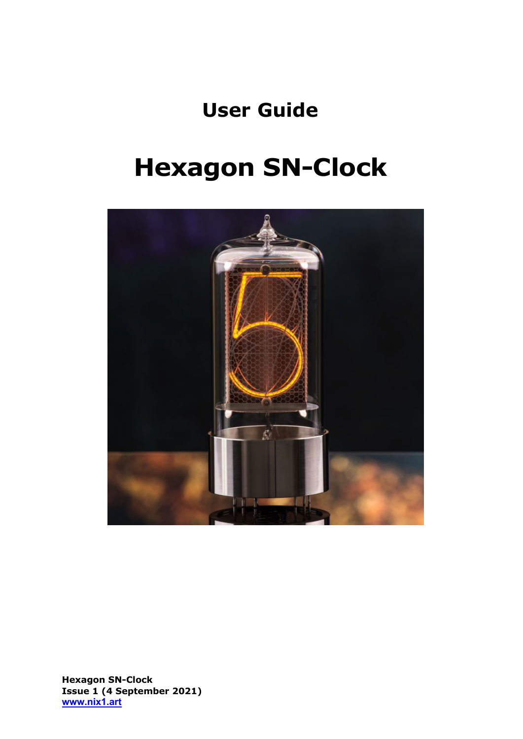# **User Guide**

# **Hexagon SN-Clock**



**Hexagon SN-Clock Issue 1 (4 September 2021) www.nix1.art**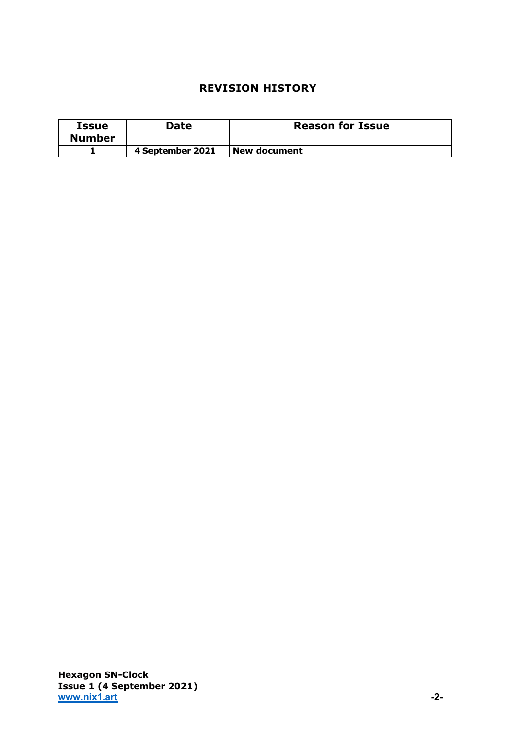# **REVISION HISTORY**

| Issue<br><b>Number</b> | Date             | <b>Reason for Issue</b> |
|------------------------|------------------|-------------------------|
|                        | 4 September 2021 | New document            |

**Hexagon SN-Clock Issue 1 (4 September 2021) www.nix1.art -2-**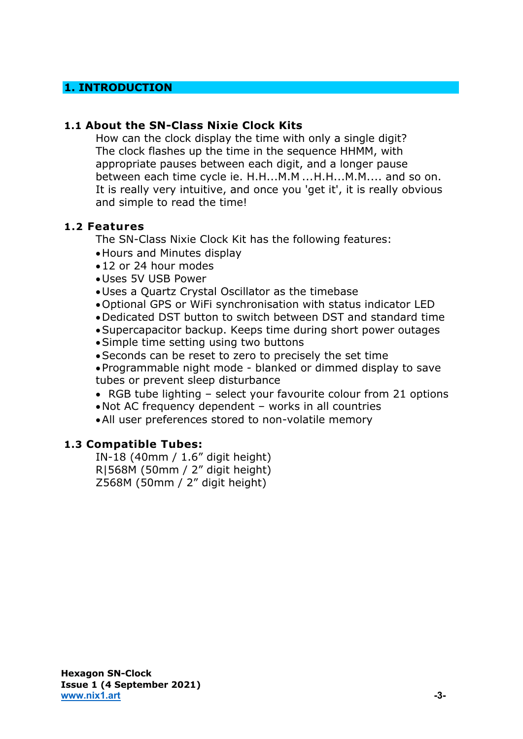# **1. INTRODUCTION**

#### **1.1 About the SN-Class Nixie Clock Kits**

How can the clock display the time with only a single digit? The clock flashes up the time in the sequence HHMM, with appropriate pauses between each digit, and a longer pause between each time cycle ie. H.H...M.M ...H.H...M.M.... and so on. It is really very intuitive, and once you 'get it', it is really obvious and simple to read the time!

#### **1.2 Features**

The SN-Class Nixie Clock Kit has the following features:

- •Hours and Minutes display
- •12 or 24 hour modes
- •Uses 5V USB Power
- •Uses a Quartz Crystal Oscillator as the timebase
- •Optional GPS or WiFi synchronisation with status indicator LED
- •Dedicated DST button to switch between DST and standard time
- •Supercapacitor backup. Keeps time during short power outages
- •Simple time setting using two buttons
- •Seconds can be reset to zero to precisely the set time

•Programmable night mode - blanked or dimmed display to save tubes or prevent sleep disturbance

- RGB tube lighting select your favourite colour from 21 options
- •Not AC frequency dependent works in all countries
- •All user preferences stored to non-volatile memory

# **1.3 Compatible Tubes:**

IN-18 (40mm / 1.6" digit height) R|568M (50mm / 2" digit height) Z568M (50mm / 2" digit height)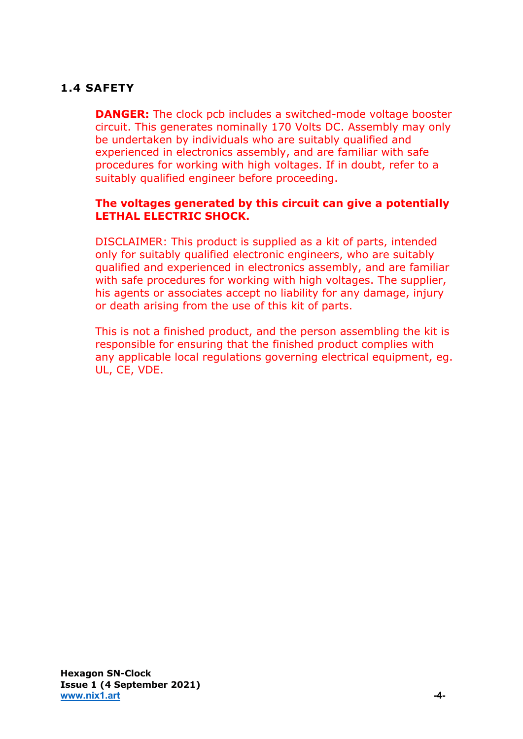# **1.4 SAFETY**

**DANGER:** The clock pcb includes a switched-mode voltage booster circuit. This generates nominally 170 Volts DC. Assembly may only be undertaken by individuals who are suitably qualified and experienced in electronics assembly, and are familiar with safe procedures for working with high voltages. If in doubt, refer to a suitably qualified engineer before proceeding.

# **The voltages generated by this circuit can give a potentially LETHAL ELECTRIC SHOCK.**

DISCLAIMER: This product is supplied as a kit of parts, intended only for suitably qualified electronic engineers, who are suitably qualified and experienced in electronics assembly, and are familiar with safe procedures for working with high voltages. The supplier, his agents or associates accept no liability for any damage, injury or death arising from the use of this kit of parts.

This is not a finished product, and the person assembling the kit is responsible for ensuring that the finished product complies with any applicable local regulations governing electrical equipment, eg. UL, CE, VDE.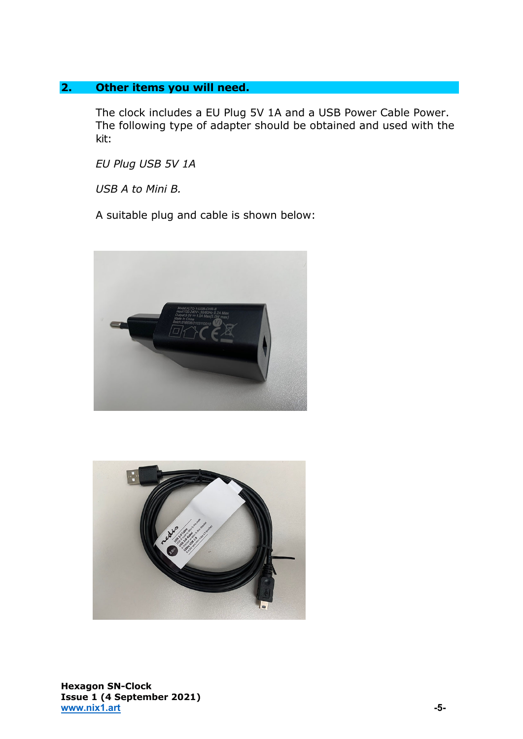# **2. Other items you will need.**

The clock includes a EU Plug 5V 1A and a USB Power Cable Power. The following type of adapter should be obtained and used with the kit:

*EU Plug USB 5V 1A*

*USB A to Mini B.*

A suitable plug and cable is shown below:





**Hexagon SN-Clock Issue 1 (4 September 2021) www.nix1.art** 5-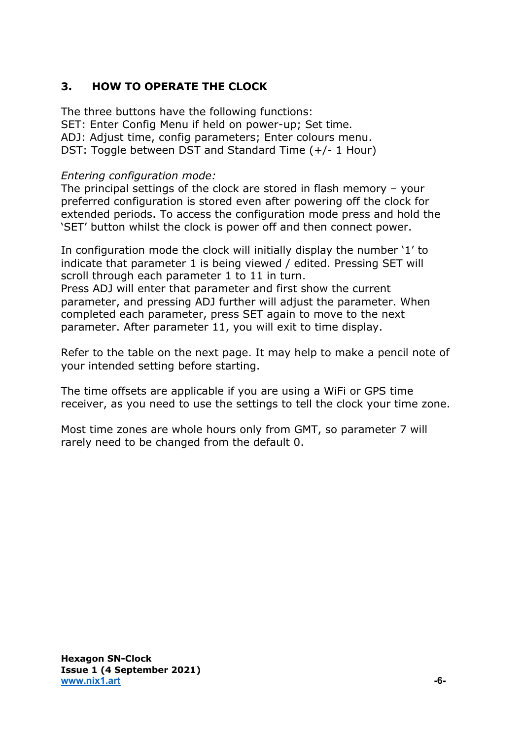# **3. HOW TO OPERATE THE CLOCK**

The three buttons have the following functions: SET: Enter Config Menu if held on power-up; Set time. ADJ: Adjust time, config parameters; Enter colours menu. DST: Toggle between DST and Standard Time (+/- 1 Hour)

# *Entering configuration mode:*

The principal settings of the clock are stored in flash memory – your preferred configuration is stored even after powering off the clock for extended periods. To access the configuration mode press and hold the 'SET' button whilst the clock is power off and then connect power.

In configuration mode the clock will initially display the number '1' to indicate that parameter 1 is being viewed / edited. Pressing SET will scroll through each parameter 1 to 11 in turn.

Press ADJ will enter that parameter and first show the current parameter, and pressing ADJ further will adjust the parameter. When completed each parameter, press SET again to move to the next parameter. After parameter 11, you will exit to time display.

Refer to the table on the next page. It may help to make a pencil note of your intended setting before starting.

The time offsets are applicable if you are using a WiFi or GPS time receiver, as you need to use the settings to tell the clock your time zone.

Most time zones are whole hours only from GMT, so parameter 7 will rarely need to be changed from the default 0.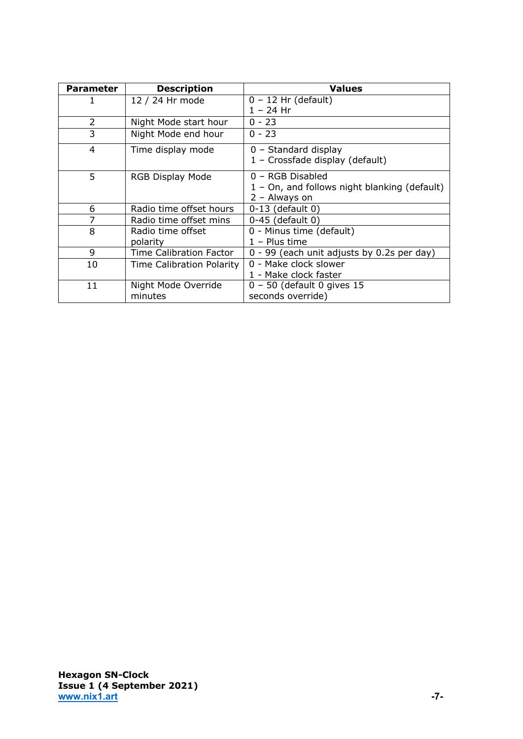| <b>Parameter</b> | <b>Description</b>             | <b>Values</b>                                |
|------------------|--------------------------------|----------------------------------------------|
| 1                | 12 / 24 Hr mode                | $0 - 12$ Hr (default)                        |
|                  |                                | $1 - 24$ Hr                                  |
| 2                | Night Mode start hour          | $0 - 23$                                     |
| 3                | Night Mode end hour            | $0 - 23$                                     |
| 4                | Time display mode              | $0$ – Standard display                       |
|                  |                                | 1 - Crossfade display (default)              |
| 5                | RGB Display Mode               | 0 - RGB Disabled                             |
|                  |                                | 1 - On, and follows night blanking (default) |
|                  |                                | 2 - Always on                                |
| 6                | Radio time offset hours        | $0-13$ (default 0)                           |
| 7                | Radio time offset mins         | 0-45 (default 0)                             |
| 8                | Radio time offset              | 0 - Minus time (default)                     |
|                  | polarity                       | $1 -$ Plus time                              |
| 9                | <b>Time Calibration Factor</b> | 0 - 99 (each unit adjusts by 0.2s per day)   |
| 10               | Time Calibration Polarity      | 0 - Make clock slower                        |
|                  |                                | 1 - Make clock faster                        |
| 11               | Night Mode Override            | $0 - 50$ (default 0 gives 15                 |
|                  | minutes                        | seconds override)                            |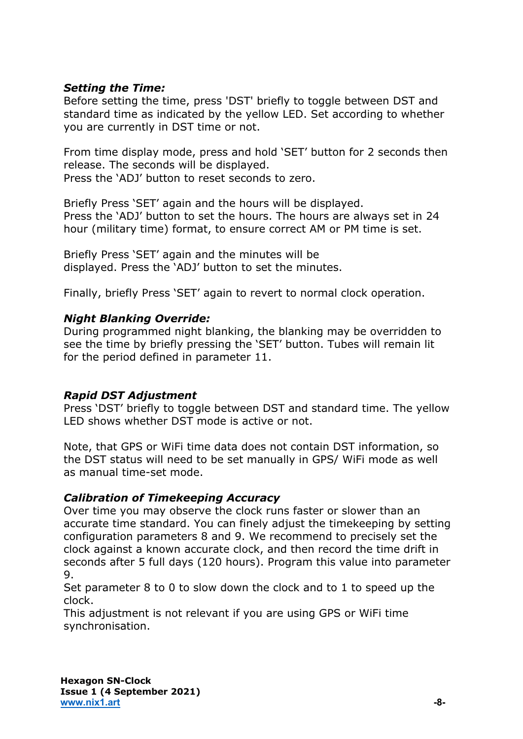# *Setting the Time:*

Before setting the time, press 'DST' briefly to toggle between DST and standard time as indicated by the yellow LED. Set according to whether you are currently in DST time or not.

From time display mode, press and hold 'SET' button for 2 seconds then release. The seconds will be displayed. Press the 'ADJ' button to reset seconds to zero.

Briefly Press 'SET' again and the hours will be displayed. Press the 'ADJ' button to set the hours. The hours are always set in 24 hour (military time) format, to ensure correct AM or PM time is set.

Briefly Press 'SET' again and the minutes will be displayed. Press the 'ADJ' button to set the minutes.

Finally, briefly Press 'SET' again to revert to normal clock operation.

# *Night Blanking Override:*

During programmed night blanking, the blanking may be overridden to see the time by briefly pressing the 'SET' button. Tubes will remain lit for the period defined in parameter 11.

# *Rapid DST Adjustment*

Press 'DST' briefly to toggle between DST and standard time. The yellow LED shows whether DST mode is active or not.

Note, that GPS or WiFi time data does not contain DST information, so the DST status will need to be set manually in GPS/ WiFi mode as well as manual time-set mode.

# *Calibration of Timekeeping Accuracy*

Over time you may observe the clock runs faster or slower than an accurate time standard. You can finely adjust the timekeeping by setting configuration parameters 8 and 9. We recommend to precisely set the clock against a known accurate clock, and then record the time drift in seconds after 5 full days (120 hours). Program this value into parameter 9.

Set parameter 8 to 0 to slow down the clock and to 1 to speed up the clock.

This adjustment is not relevant if you are using GPS or WiFi time synchronisation.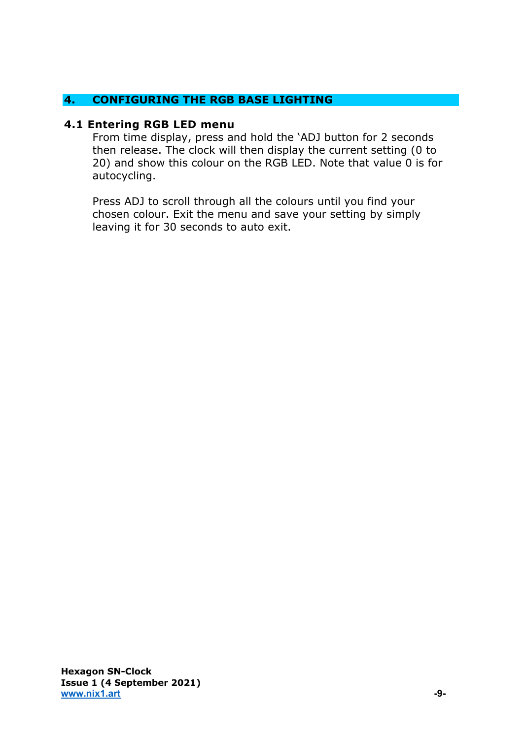# **4. CONFIGURING THE RGB BASE LIGHTING**

#### **4.1 Entering RGB LED menu**

From time display, press and hold the 'ADJ button for 2 seconds then release. The clock will then display the current setting (0 to 20) and show this colour on the RGB LED. Note that value 0 is for autocycling.

Press ADJ to scroll through all the colours until you find your chosen colour. Exit the menu and save your setting by simply leaving it for 30 seconds to auto exit.